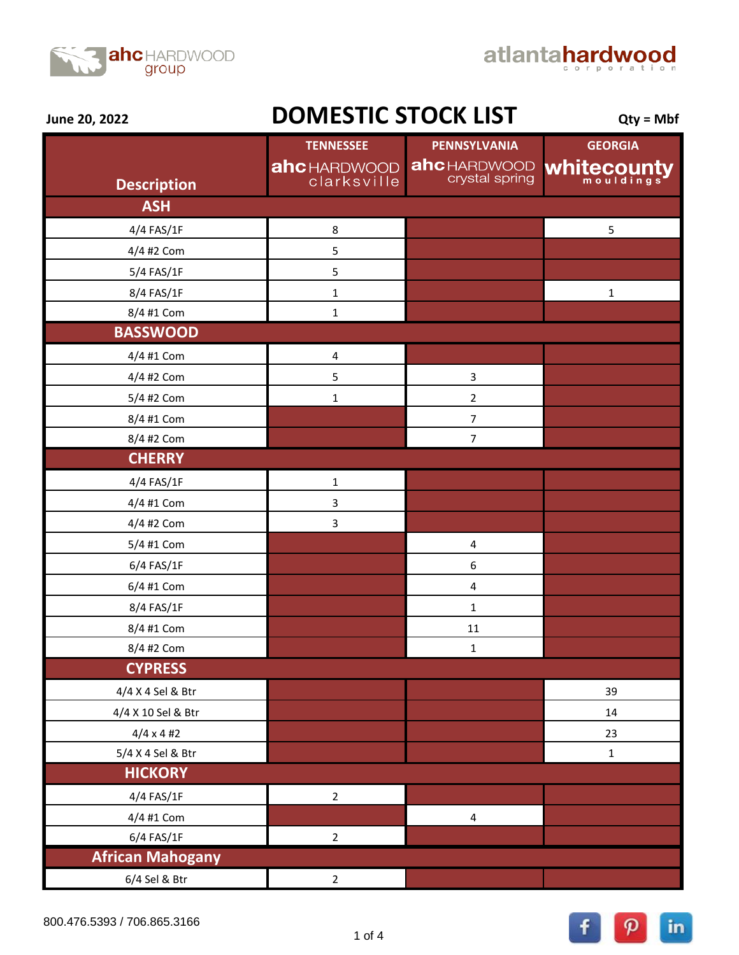



**June 20, 2022**

## **DOMESTIC STOCK LIST**  $_{\text{Qty = Mbf}}$

|                         | <b>TENNESSEE</b>           | PENNSYLVANIA                          | <b>GEORGIA</b> |
|-------------------------|----------------------------|---------------------------------------|----------------|
|                         | ahcHARDWOOD<br>clarksville | <b>ahc</b> HARDWOOD<br>crystal spring | Whitecounty    |
| <b>Description</b>      |                            |                                       |                |
| <b>ASH</b>              |                            |                                       |                |
| 4/4 FAS/1F              | 8                          |                                       | 5              |
| 4/4 #2 Com              | 5                          |                                       |                |
| 5/4 FAS/1F              | $\mathsf S$                |                                       |                |
| 8/4 FAS/1F              | $\mathbf 1$                |                                       | $\mathbf 1$    |
| 8/4 #1 Com              | $\mathbf 1$                |                                       |                |
| <b>BASSWOOD</b>         |                            |                                       |                |
| 4/4 #1 Com              | $\overline{\mathbf{4}}$    |                                       |                |
| 4/4 #2 Com              | 5                          | 3                                     |                |
| 5/4 #2 Com              | $\mathbf 1$                | $\overline{2}$                        |                |
| 8/4 #1 Com              |                            | $\boldsymbol{7}$                      |                |
| 8/4 #2 Com              |                            | $\overline{7}$                        |                |
| <b>CHERRY</b>           |                            |                                       |                |
| 4/4 FAS/1F              | $\mathbf 1$                |                                       |                |
| 4/4 #1 Com              | 3                          |                                       |                |
| 4/4 #2 Com              | 3                          |                                       |                |
| 5/4 #1 Com              |                            | $\pmb{4}$                             |                |
| 6/4 FAS/1F              |                            | $\boldsymbol{6}$                      |                |
| 6/4 #1 Com              |                            | $\pmb{4}$                             |                |
| 8/4 FAS/1F              |                            | $\mathbf 1$                           |                |
| 8/4 #1 Com              |                            | 11                                    |                |
| 8/4 #2 Com              |                            | $\mathbf 1$                           |                |
| <b>CYPRESS</b>          |                            |                                       |                |
| 4/4 X 4 Sel & Btr       |                            |                                       | 39             |
| 4/4 X 10 Sel & Btr      |                            |                                       | 14             |
| $4/4 \times 4$ #2       |                            |                                       | 23             |
| 5/4 X 4 Sel & Btr       |                            |                                       | $\mathbf 1$    |
| <b>HICKORY</b>          |                            |                                       |                |
| 4/4 FAS/1F              | $\overline{2}$             |                                       |                |
| 4/4 #1 Com              |                            | $\pmb{4}$                             |                |
| 6/4 FAS/1F              | $\overline{2}$             |                                       |                |
| <b>African Mahogany</b> |                            |                                       |                |
| 6/4 Sel & Btr           | $\overline{2}$             |                                       |                |

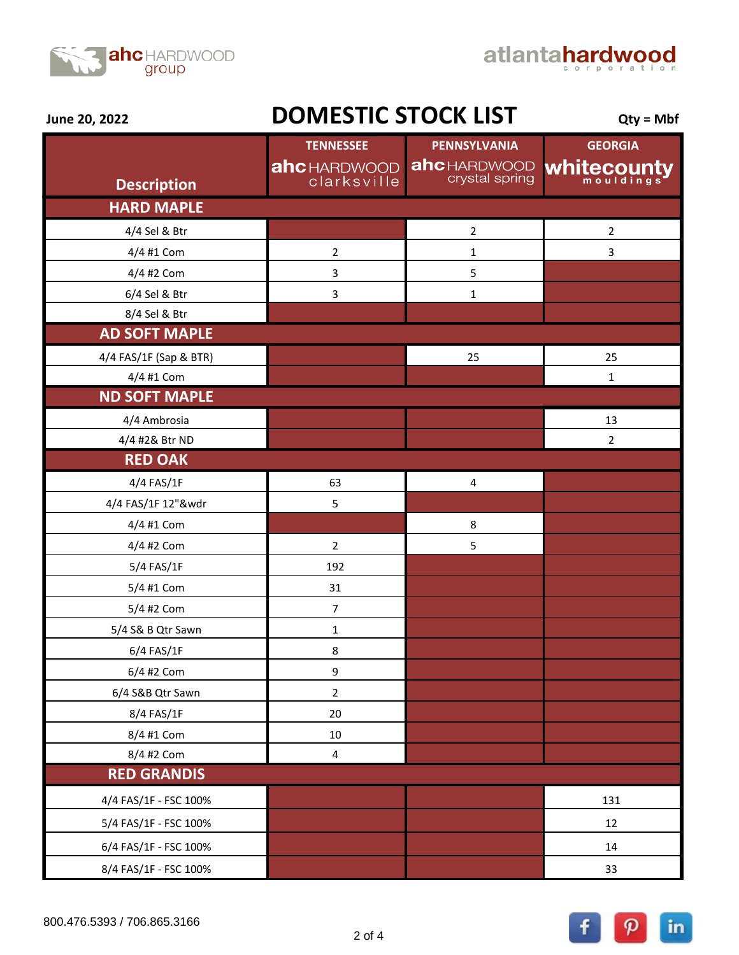



**June 20, 2022**

## **DOMESTIC STOCK LIST**  $_{\text{Qty = Mbf}}$

|                        | <b>TENNESSEE</b>                   | <b>PENNSYLVANIA</b>                   | <b>GEORGIA</b> |
|------------------------|------------------------------------|---------------------------------------|----------------|
| <b>Description</b>     | <b>ahc</b> HARDWOOD<br>clarksville | <b>ahc</b> HARDWOOD<br>crystal spring | Whitecounty    |
| <b>HARD MAPLE</b>      |                                    |                                       |                |
| 4/4 Sel & Btr          |                                    | $\mathbf 2$                           | $\overline{2}$ |
| 4/4 #1 Com             | $\mathbf 2$                        | $\mathbf 1$                           | 3              |
| 4/4 #2 Com             | 3                                  | 5                                     |                |
| 6/4 Sel & Btr          | 3                                  | $\mathbf 1$                           |                |
| 8/4 Sel & Btr          |                                    |                                       |                |
| <b>AD SOFT MAPLE</b>   |                                    |                                       |                |
| 4/4 FAS/1F (Sap & BTR) |                                    | 25                                    | 25             |
| 4/4 #1 Com             |                                    |                                       | $\mathbf 1$    |
| <b>ND SOFT MAPLE</b>   |                                    |                                       |                |
| 4/4 Ambrosia           |                                    |                                       | 13             |
| 4/4 #2& Btr ND         |                                    |                                       | $\overline{2}$ |
| <b>RED OAK</b>         |                                    |                                       |                |
| 4/4 FAS/1F             | 63                                 | 4                                     |                |
| 4/4 FAS/1F 12"&wdr     | 5                                  |                                       |                |
| 4/4 #1 Com             |                                    | 8                                     |                |
| 4/4 #2 Com             | $\overline{2}$                     | 5                                     |                |
| 5/4 FAS/1F             | 192                                |                                       |                |
| 5/4 #1 Com             | 31                                 |                                       |                |
| 5/4 #2 Com             | $\overline{7}$                     |                                       |                |
| 5/4 S& B Qtr Sawn      | $\mathbf 1$                        |                                       |                |
| 6/4 FAS/1F             | 8                                  |                                       |                |
| 6/4 #2 Com             | 9                                  |                                       |                |
| 6/4 S&B Qtr Sawn       | $\overline{2}$                     |                                       |                |
| 8/4 FAS/1F             | 20                                 |                                       |                |
| 8/4 #1 Com             | $10\,$                             |                                       |                |
| 8/4 #2 Com             | $\overline{\mathbf{4}}$            |                                       |                |
| <b>RED GRANDIS</b>     |                                    |                                       |                |
| 4/4 FAS/1F - FSC 100%  |                                    |                                       | 131            |
| 5/4 FAS/1F - FSC 100%  |                                    |                                       | 12             |
| 6/4 FAS/1F - FSC 100%  |                                    |                                       | 14             |
| 8/4 FAS/1F - FSC 100%  |                                    |                                       | 33             |

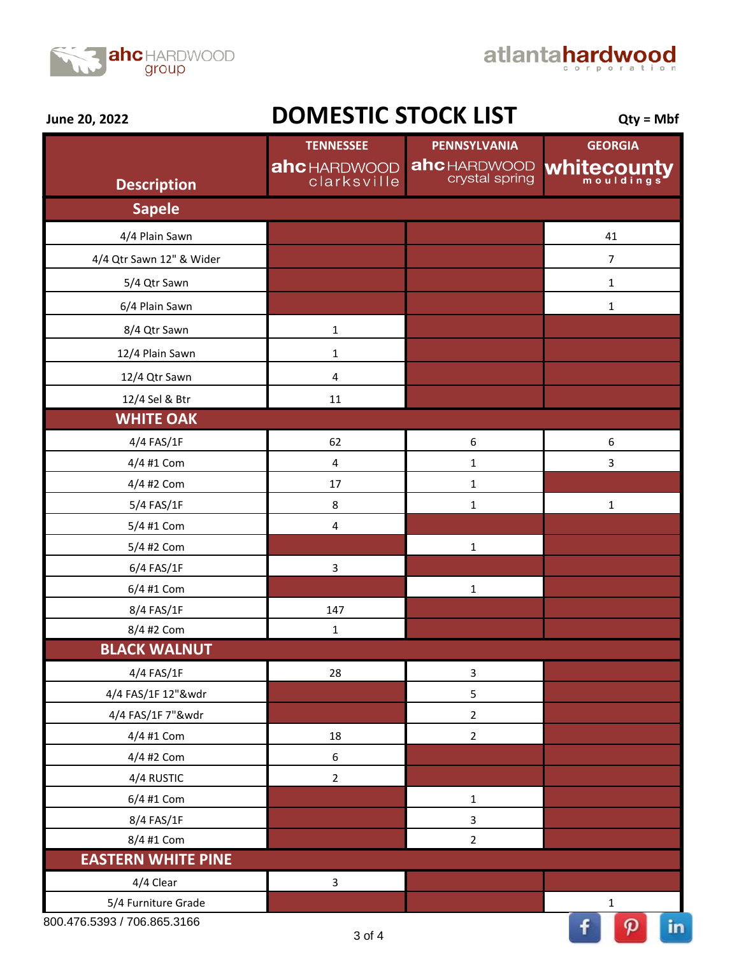



**June 20, 2022**

## **DOMESTIC STOCK LIST**  $_{\text{Qty = Mbf}}$

|                           | <b>TENNESSEE</b>                   | PENNSYLVANIA                          | <b>GEORGIA</b> |
|---------------------------|------------------------------------|---------------------------------------|----------------|
| <b>Description</b>        | <b>ahc</b> HARDWOOD<br>clarksville | <b>ahc</b> HARDWOOD<br>crystal spring | whitecounty    |
| <b>Sapele</b>             |                                    |                                       |                |
| 4/4 Plain Sawn            |                                    |                                       | 41             |
| 4/4 Qtr Sawn 12" & Wider  |                                    |                                       | $\overline{7}$ |
| 5/4 Qtr Sawn              |                                    |                                       | $\mathbf 1$    |
| 6/4 Plain Sawn            |                                    |                                       | $\mathbf 1$    |
| 8/4 Qtr Sawn              | $\mathbf 1$                        |                                       |                |
| 12/4 Plain Sawn           | $\mathbf 1$                        |                                       |                |
| 12/4 Qtr Sawn             | $\overline{\mathbf{4}}$            |                                       |                |
| 12/4 Sel & Btr            | 11                                 |                                       |                |
| <b>WHITE OAK</b>          |                                    |                                       |                |
| 4/4 FAS/1F                | 62                                 | 6                                     | 6              |
| 4/4 #1 Com                | $\overline{\mathbf{4}}$            | $\mathbf 1$                           | $\overline{3}$ |
| 4/4 #2 Com                | 17                                 | $\mathbf 1$                           |                |
| 5/4 FAS/1F                | 8                                  | $\mathbf 1$                           | $\mathbf 1$    |
| 5/4 #1 Com                | 4                                  |                                       |                |
| 5/4 #2 Com                |                                    | $\mathbf 1$                           |                |
| 6/4 FAS/1F                | $\mathbf{3}$                       |                                       |                |
| 6/4 #1 Com                |                                    | $\mathbf 1$                           |                |
| 8/4 FAS/1F                | 147                                |                                       |                |
| 8/4 #2 Com                | $\mathbf 1$                        |                                       |                |
| <b>BLACK WALNUT</b>       |                                    |                                       |                |
| 4/4 FAS/1F                | 28                                 | 3                                     |                |
| 4/4 FAS/1F 12"&wdr        |                                    | 5                                     |                |
| 4/4 FAS/1F 7"&wdr         |                                    | $\overline{2}$                        |                |
| 4/4 #1 Com                | 18                                 | $\overline{2}$                        |                |
| 4/4 #2 Com                | $\boldsymbol{6}$                   |                                       |                |
| 4/4 RUSTIC                | $\overline{2}$                     |                                       |                |
| 6/4 #1 Com                |                                    | $\mathbf 1$                           |                |
| 8/4 FAS/1F                |                                    | 3                                     |                |
| 8/4 #1 Com                |                                    | $\overline{2}$                        |                |
| <b>EASTERN WHITE PINE</b> |                                    |                                       |                |
| 4/4 Clear                 | $\mathbf{3}$                       |                                       |                |
| 5/4 Furniture Grade       |                                    |                                       | $\mathbf 1$    |

800.476.5393 / 706.865.3166